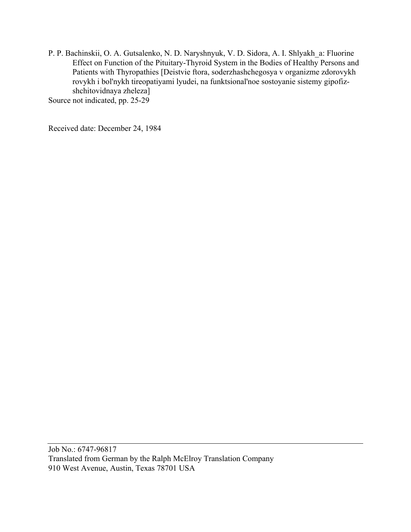P. P. Bachinskii, O. A. Gutsalenko, N. D. Naryshnyuk, V. D. Sidora, A. I. Shlyakh\_a: Fluorine Effect on Function of the Pituitary-Thyroid System in the Bodies of Healthy Persons and Patients with Thyropathies [Deistvie ftora, soderzhashchegosya v organizme zdorovykh rovykh i bol'nykh tireopatiyami lyudei, na funktsional'noe sostoyanie sistemy gipofizshchitovidnaya zheleza]

Source not indicated, pp. 25-29

Received date: December 24, 1984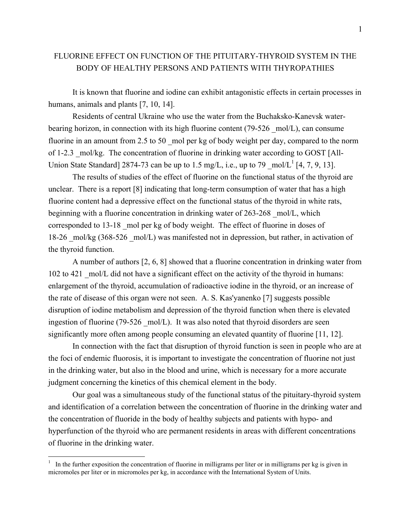# FLUORINE EFFECT ON FUNCTION OF THE PITUITARY-THYROID SYSTEM IN THE BODY OF HEALTHY PERSONS AND PATIENTS WITH THYROPATHIES

It is known that fluorine and iodine can exhibit antagonistic effects in certain processes in humans, animals and plants [7, 10, 14].

Residents of central Ukraine who use the water from the Buchaksko-Kanevsk waterbearing horizon, in connection with its high fluorine content  $(79-526 \text{ mol/L})$ , can consume fluorine in an amount from 2.5 to 50 mol per kg of body weight per day, compared to the norm of 1-2.3 \_mol/kg. The concentration of fluorine in drinking water according to GOST [All-Union State Standard] 2874-73 can be up to 1.5 mg/L, i.e., up to 79  $\text{mol/L}^1$  [4, 7, 9, 13].

The results of studies of the effect of fluorine on the functional status of the thyroid are unclear. There is a report [8] indicating that long-term consumption of water that has a high fluorine content had a depressive effect on the functional status of the thyroid in white rats, beginning with a fluorine concentration in drinking water of 263-268 mol/L, which corresponded to 13-18 \_mol per kg of body weight. The effect of fluorine in doses of 18-26 \_mol/kg (368-526 \_mol/L) was manifested not in depression, but rather, in activation of the thyroid function.

A number of authors [2, 6, 8] showed that a fluorine concentration in drinking water from 102 to 421 mol/L did not have a significant effect on the activity of the thyroid in humans: enlargement of the thyroid, accumulation of radioactive iodine in the thyroid, or an increase of the rate of disease of this organ were not seen. A. S. Kas'yanenko [7] suggests possible disruption of iodine metabolism and depression of the thyroid function when there is elevated ingestion of fluorine (79-526 mol/L). It was also noted that thyroid disorders are seen significantly more often among people consuming an elevated quantity of fluorine [11, 12].

In connection with the fact that disruption of thyroid function is seen in people who are at the foci of endemic fluorosis, it is important to investigate the concentration of fluorine not just in the drinking water, but also in the blood and urine, which is necessary for a more accurate judgment concerning the kinetics of this chemical element in the body.

Our goal was a simultaneous study of the functional status of the pituitary-thyroid system and identification of a correlation between the concentration of fluorine in the drinking water and the concentration of fluoride in the body of healthy subjects and patients with hypo- and hyperfunction of the thyroid who are permanent residents in areas with different concentrations of fluorine in the drinking water.

 $\frac{1}{1}$  In the further exposition the concentration of fluorine in milligrams per liter or in milligrams per kg is given in micromoles per liter or in micromoles per kg, in accordance with the International System of Units.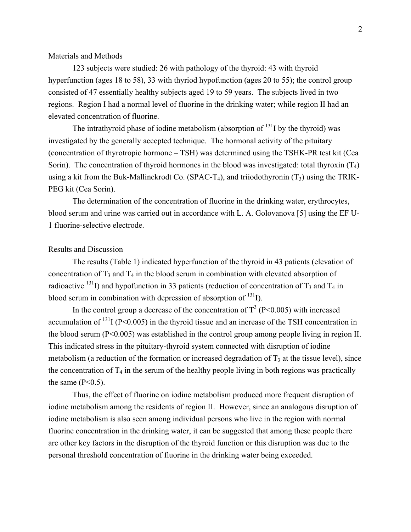## Materials and Methods

123 subjects were studied: 26 with pathology of the thyroid: 43 with thyroid hyperfunction (ages 18 to 58), 33 with thyriod hypofunction (ages 20 to 55); the control group consisted of 47 essentially healthy subjects aged 19 to 59 years. The subjects lived in two regions. Region I had a normal level of fluorine in the drinking water; while region II had an elevated concentration of fluorine.

The intrathyroid phase of iodine metabolism (absorption of  $^{131}$ I by the thyroid) was investigated by the generally accepted technique. The hormonal activity of the pituitary (concentration of thyrotropic hormone – TSH) was determined using the TSHK-PR test kit (Cea Sorin). The concentration of thyroid hormones in the blood was investigated: total thyroxin  $(T_4)$ using a kit from the Buk-Mallinckrodt Co. (SPAC-T<sub>4</sub>), and triiodothyronin  $(T_3)$  using the TRIK-PEG kit (Cea Sorin).

The determination of the concentration of fluorine in the drinking water, erythrocytes, blood serum and urine was carried out in accordance with L. A. Golovanova [5] using the EF U-1 fluorine-selective electrode.

### Results and Discussion

The results (Table 1) indicated hyperfunction of the thyroid in 43 patients (elevation of concentration of  $T_3$  and  $T_4$  in the blood serum in combination with elevated absorption of radioactive <sup>131</sup>I) and hypofunction in 33 patients (reduction of concentration of  $T_3$  and  $T_4$  in blood serum in combination with depression of absorption of  $^{131}$ I).

In the control group a decrease of the concentration of  $T^3$  (P<0.005) with increased accumulation of  $^{131}$  (P<0.005) in the thyroid tissue and an increase of the TSH concentration in the blood serum (P<0.005) was established in the control group among people living in region II. This indicated stress in the pituitary-thyroid system connected with disruption of iodine metabolism (a reduction of the formation or increased degradation of  $T_3$  at the tissue level), since the concentration of  $T_4$  in the serum of the healthy people living in both regions was practically the same  $(P<0.5)$ .

Thus, the effect of fluorine on iodine metabolism produced more frequent disruption of iodine metabolism among the residents of region II. However, since an analogous disruption of iodine metabolism is also seen among individual persons who live in the region with normal fluorine concentration in the drinking water, it can be suggested that among these people there are other key factors in the disruption of the thyroid function or this disruption was due to the personal threshold concentration of fluorine in the drinking water being exceeded.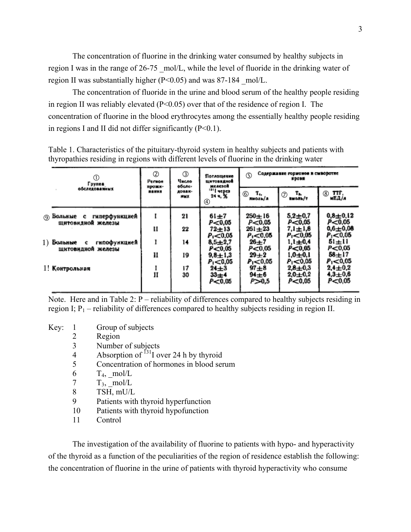The concentration of fluorine in the drinking water consumed by healthy subjects in region I was in the range of 26-75 mol/L, while the level of fluoride in the drinking water of region II was substantially higher  $(P<0.05)$  and was 87-184 mol/L.

The concentration of fluoride in the urine and blood serum of the healthy people residing in region II was reliably elevated  $(P< 0.05)$  over that of the residence of region I. The concentration of fluorine in the blood erythrocytes among the essentially healthy people residing in regions I and II did not differ significantly  $(P<0.1)$ .

|  | $^\circledR$<br>Группа<br>обследованных                | $\circled{2}$<br>Person<br>прожи-<br><b>BARKS</b> | $\circled{3}$<br>Число<br>обсле-<br><b>ADBAR-</b><br>拷问文 | Поглащение<br><b>плитовидной</b><br>железой<br><sup>131</sup> I vepes<br>24 u. X<br>④ | Содержавие горионов в смворотке<br><b>(5)</b><br><b>EDOBN</b> |                                         |                                        |
|--|--------------------------------------------------------|---------------------------------------------------|----------------------------------------------------------|---------------------------------------------------------------------------------------|---------------------------------------------------------------|-----------------------------------------|----------------------------------------|
|  |                                                        |                                                   |                                                          |                                                                                       | ⑥<br>T.,<br>ниоль/а                                           | $\oslash$ $\frac{T_{\rm th}}{\sinhh/r}$ | $(8)$ TTF,<br>мЕД/а                    |
|  | гиперфункцией<br>(9) Больные с<br>щитовидной железы    | I                                                 | 21                                                       | $61 + 7$<br>P<0,05                                                                    | $250 \pm 16$<br>$P = 0.05$                                    | $5,2 + 0,7$<br>P<0.05                   | $0,8 + 0,12$<br>P< 0.05                |
|  |                                                        | Ħ                                                 | 22                                                       | 72±13<br>$P_1 < 0.05$                                                                 | $261 + 23$<br>$P_1 < 0.05$                                    | $7,1 \pm 1,6$<br>$P_1 \le 0.05$         | $0,6 + 0,08$<br>$P_1 < 0.05$           |
|  | $1)$ Больные<br>гипофункцией<br>c<br>щитовидной железы | ı                                                 | 14                                                       | $8,5 + 2,7$<br>P < 0.05                                                               | $26 \pm 7$<br>P < 0.05                                        | $1,1 + 0,4$<br>P<0,05                   | $51 + 11$<br>P<0.05                    |
|  |                                                        | и                                                 | 19                                                       | $9,8 + 1,3$<br>$P_1 < 0.05$                                                           | $29 + 2$<br>$P_1 < 0.05$                                      | $1,0{\pm}0,1$<br>$P_1 = 0.05$           | $58 + 17$<br>$P_1 < 0.05$              |
|  | 1! Контрольная                                         | II                                                | 17<br>30                                                 | $24 + 3$<br>$33 + 4$<br>P<0.05                                                        | $97\pm8$<br>$94 \pm 6$<br>P>0,5                               | $2.8 + 0.3$<br>$2,0+0,2$<br>$P = 0.05$  | $2,4 \pm 0.2$<br>$4,3 + 0,6$<br>P<0.05 |

Table 1. Characteristics of the pituitary-thyroid system in healthy subjects and patients with thyropathies residing in regions with different levels of fluorine in the drinking water

Note. Here and in Table 2: P – reliability of differences compared to healthy subjects residing in region I;  $P_1$  – reliability of differences compared to healthy subjects residing in region II.

- Key: 1 Group of subjects
	- 2 Region
	- 3 Number of subjects
	- 4 Absorption of  $^{131}$ I over 24 h by thyroid
	- 5 Concentration of hormones in blood serum
	- 6  $T_4$ , mol/L
	- $\frac{T_3}{S}$  mol/L<br>8 TSH mU/L
	- TSH, mU/L
	- 9 Patients with thyroid hyperfunction
	- 10 Patients with thyroid hypofunction
	- 11 Control

The investigation of the availability of fluorine to patients with hypo- and hyperactivity of the thyroid as a function of the peculiarities of the region of residence establish the following: the concentration of fluorine in the urine of patients with thyroid hyperactivity who consume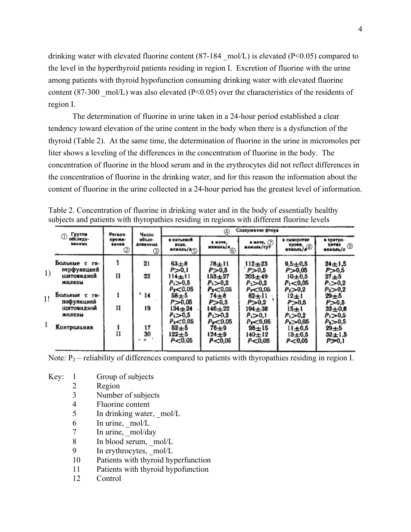drinking water with elevated fluorine content  $(87-184 \text{ mol/L})$  is elevated  $(P<0.05)$  compared to the level in the hyperthyroid patients residing in region I. Excretion of fluorine with the urine among patients with thyroid hypofunction consuming drinking water with elevated fluorine content (87-300  $\text{mol/L}$ ) was also elevated (P<0.05) over the characteristics of the residents of region I.

The determination of fluorine in urine taken in a 24-hour period established a clear tendency toward elevation of the urine content in the body when there is a dysfunction of the thyroid (Table 2). At the same time, the determination of fluorine in the urine in micromoles per liter shows a leveling of the differences in the concentration of fluorine in the body. The concentration of fluorine in the blood serum and in the erythrocytes did not reflect differences in the concentration of fluorine in the drinking water, and for this reason the information about the content of fluorine in the urine collected in a 24-hour period has the greatest level of information.

|              | Группа<br>$\circled{1}$          | Pernon-                                  | Число<br>обсле-<br><b>RANNEGOR</b><br>3 | Содержание фтора<br>4                                |                                                   |                                                 |                                                    |                                                |  |
|--------------|----------------------------------|------------------------------------------|-----------------------------------------|------------------------------------------------------|---------------------------------------------------|-------------------------------------------------|----------------------------------------------------|------------------------------------------------|--|
|              | обследо-<br><b><i>RAHHMK</i></b> | прожи-<br><b>BAHKR</b><br>$^{\circledR}$ |                                         | в питьевой<br>DOAC.<br>$\frac{1}{2}$                 | <b>B MOVE.</b><br>$\frac{1}{2}$                   | $\blacksquare$ MOVE, $(7)$<br>икноль/сут        | в сыворотке<br>крови,<br>икмоль/л                  | в эритро-<br>$\frac{1}{2}$ $\frac{1}{2}$       |  |
|              | Больные с ги-<br>перфункцией     |                                          | 21                                      | $63\pm8$<br>P>0,1                                    | 78±11<br>P>0,5                                    | $112 + 23$<br>P > 0.5                           | $9,5 \pm 0.5$<br>P>0,05                            | $24 \pm 1.5$<br>P>0,5                          |  |
| 1)           | ШИТОВИДНОЙ<br>железы             | н                                        | 22                                      | 114±11<br>$P_1 > 0.5$<br>Pr<0,05                     | $153\pm27$<br>$P_{1}>0.2$<br>P <sub>2</sub> <0,05 | $203 + 49$<br>$P_1 > 0.2$<br>$P_2 < 0.05$       | $10+0.5$<br>$P_1 < 0.05$<br>$P_2 > 0.2$            | $27\pm5$<br>$P_1 > 0.2$<br>$P_2 > 0.2$         |  |
| 1!           | Больные с ги-<br>пофункцией      |                                          | ` 14                                    | $58 + 5$<br>P>0.05                                   | $74\pm8$<br>P>0,5                                 | $82 + 11$<br>P>0,2                              | $12 + 1$<br>P > 0.5                                | $29 + 5$<br>P>0.5                              |  |
|              | <b>ШИТОВИДНОЙ</b><br>железы      | 11                                       | 19                                      | $134 \pm 24$<br>$P_1 > 0.5$                          | $146 + 22$<br>$P_1 > 0.2$                         | 194±38<br>$P_1 > 0,1$                           | 15±1<br>$P_1 > 0.2$                                | $32 + 0.8$<br>$P_1 > 0,5$                      |  |
| $\mathbf{1}$ | Контрольная                      | и                                        | 17<br>30                                | P <sub>2</sub> < 0.05<br>$52\pm5$<br>122±5<br>P<0.05 | Pr<0.05<br>$78 + 9$<br>$124 + 9$<br>P < 0.05      | $P_{z} < 0.05$<br>$98 + 15$<br>140±12<br>P<0.05 | $P_2 > 0,05$<br>$11 + 0.5$<br>$13 + 0.5$<br>P<0.05 | $P_1 > 0.5$<br>$29 + 5$<br>$32 + 1.5$<br>PD0,1 |  |
|              |                                  |                                          |                                         |                                                      |                                                   |                                                 |                                                    |                                                |  |

Table 2. Concentration of fluorine in drinking water and in the body of essentially healthy subjects and patients with thyropathies residing in regions with different fluorine levels

Note:  $P_2$  – reliability of differences compared to patients with thyropathies residing in region I.

- Key: 1 Group of subjects
	- 2 Region
	- 3 Number of subjects
	- 4 Fluorine content
	- 5 In drinking water, mol/L
	- $6$  In urine,  $mol/L$
	- 7 In urine, mol/day
	- 8 In blood serum, mol/L
	- 9 In erythrocytes, mol/L
	- 10 Patients with thyroid hyperfunction
	- 11 Patients with thyroid hypofunction
	- 12 Control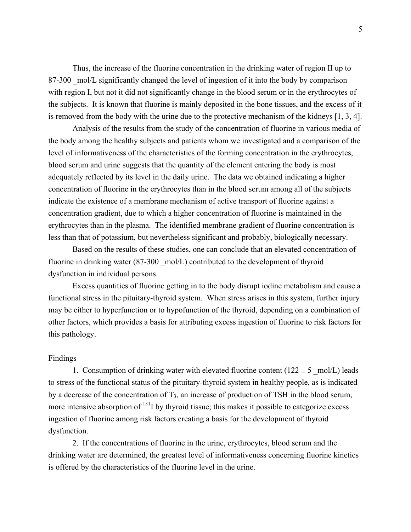Thus, the increase of the fluorine concentration in the drinking water of region II up to 87-300 mol/L significantly changed the level of ingestion of it into the body by comparison with region I, but not it did not significantly change in the blood serum or in the erythrocytes of the subjects. It is known that fluorine is mainly deposited in the bone tissues, and the excess of it is removed from the body with the urine due to the protective mechanism of the kidneys [1, 3, 4].

Analysis of the results from the study of the concentration of fluorine in various media of the body among the healthy subjects and patients whom we investigated and a comparison of the level of informativeness of the characteristics of the forming concentration in the erythrocytes, blood serum and urine suggests that the quantity of the element entering the body is most adequately reflected by its level in the daily urine. The data we obtained indicating a higher concentration of fluorine in the erythrocytes than in the blood serum among all of the subjects indicate the existence of a membrane mechanism of active transport of fluorine against a concentration gradient, due to which a higher concentration of fluorine is maintained in the erythrocytes than in the plasma. The identified membrane gradient of fluorine concentration is less than that of potassium, but nevertheless significant and probably, biologically necessary.

Based on the results of these studies, one can conclude that an elevated concentration of fluorine in drinking water (87-300 mol/L) contributed to the development of thyroid dysfunction in individual persons.

Excess quantities of fluorine getting in to the body disrupt iodine metabolism and cause a functional stress in the pituitary-thyroid system. When stress arises in this system, further injury may be either to hyperfunction or to hypofunction of the thyroid, depending on a combination of other factors, which provides a basis for attributing excess ingestion of fluorine to risk factors for this pathology.

#### Findings

1. Consumption of drinking water with elevated fluorine content ( $122 \pm 5 \text{ mol/L}$ ) leads to stress of the functional status of the pituitary-thyroid system in healthy people, as is indicated by a decrease of the concentration of  $T_3$ , an increase of production of TSH in the blood serum, more intensive absorption of  $^{131}$ I by thyroid tissue; this makes it possible to categorize excess ingestion of fluorine among risk factors creating a basis for the development of thyroid dysfunction.

2. If the concentrations of fluorine in the urine, erythrocytes, blood serum and the drinking water are determined, the greatest level of informativeness concerning fluorine kinetics is offered by the characteristics of the fluorine level in the urine.